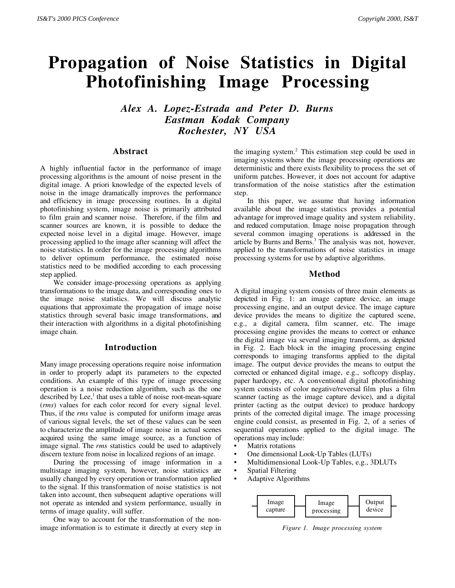# **Propagation of Noise Statistics in Digital Photofinishing Image Processing**

*Alex A. Lopez-Estrada and Peter D. Burns Eastman Kodak Company Rochester, NY USA*

## **Abstract**

A highly influential factor in the performance of image processing algorithms is the amount of noise present in the digital image. A priori knowledge of the expected levels of noise in the image dramatically improves the performance and efficiency in image processing routines. In a digital photofinishing system, image noise is primarily attributed to film grain and scanner noise. Therefore, if the film and scanner sources are known, it is possible to deduce the expected noise level in a digital image. However, image processing applied to the image after scanning will affect the noise statistics. In order for the image processing algorithms to deliver optimum performance, the estimated noise statistics need to be modified according to each processing step applied.

We consider image-processing operations as applying transformations to the image data, and corresponding ones to the image noise statistics. We will discuss analytic equations that approximate the propagation of image noise statistics through several basic image transformations, and their interaction with algorithms in a digital photofinishing image chain.

## **Introduction**

Many image processing operations require noise information in order to properly adapt its parameters to the expected conditions. An example of this type of image processing operation is a noise reduction algorithm, such as the one described by Lee,<sup>1</sup> that uses a table of noise root-mean-square (*rms*) values for each color record for every signal level. Thus, if the *rms* value is computed for uniform image areas of various signal levels, the set of these values can be seen to characterize the amplitude of image noise in actual scenes acquired using the same image source, as a function of image signal. The *rms* statistics could be used to adaptively discern texture from noise in localized regions of an image.

During the processing of image information in a multistage imaging system, however, noise statistics are usually changed by every operation or transformation applied to the signal. If this transformation of noise statistics is not taken into account, then subsequent adaptive operations will not operate as intended and system performance, usually in terms of image quality, will suffer.

One way to account for the transformation of the nonimage information is to estimate it directly at every step in the imaging system. $<sup>2</sup>$  This estimation step could be used in</sup> imaging systems where the image processing operations are deterministic and there exists flexibility to process the set of uniform patches. However, it does not account for adaptive transformation of the noise statistics after the estimation step.

In this paper, we assume that having information available about the image statistics provides a potential advantage for improved image quality and system reliability, and reduced computation. Image noise propagation through several common imaging operations is addressed in the article by Burns and Berns.<sup>3</sup> The analysis was not, however, applied to the transformations of noise statistics in image processing systems for use by adaptive algorithms.

## **Method**

A digital imaging system consists of three main elements as depicted in Fig. 1: an image capture device, an image processing engine, and an output device. The image capture device provides the means to digitize the captured scene, e.g., a digital camera, film scanner, etc. The image processing engine provides the means to correct or enhance the digital image via several imaging transform, as depicted in Fig. 2. Each block in the imaging processing engine corresponds to imaging transforms applied to the digital image. The output device provides the means to output the corrected or enhanced digital image, e.g., softcopy display, paper hardcopy, etc. A conventional digital photofinishing system consists of color negative/reversal film plus a film scanner (acting as the image capture device), and a digital printer (acting as the output device) to produce hardcopy prints of the corrected digital image. The image processing engine could consist, as presented in Fig. 2, of a series of sequential operations applied to the digital image. The operations may include:

- Matrix rotations
- One dimensional Look-Up Tables (LUTs)
- Multidimensional Look-Up Tables, e.g., 3DLUTs
- Spatial Filtering
- Adaptive Algorithms



*Figure 1. Image processing system*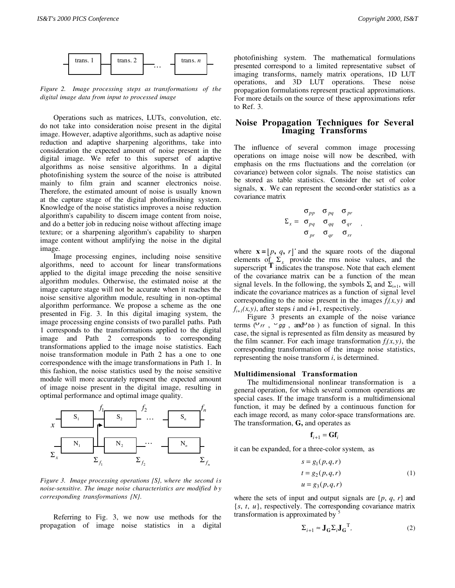

*Figure 2. Image processing steps as transformations of the digital image data from input to processed image*

Operations such as matrices, LUTs, convolution, etc. do not take into consideration noise present in the digital image. However, adaptive algorithms, such as adaptive noise reduction and adaptive sharpening algorithms, take into consideration the expected amount of noise present in the digital image. We refer to this superset of adaptive algorithms as noise sensitive algorithms. In a digital photofinishing system the source of the noise is attributed mainly to film grain and scanner electronics noise. Therefore, the estimated amount of noise is usually known at the capture stage of the digital photofinsihing system. Knowledge of the noise statistics improves a noise reduction algorithm's capability to discern image content from noise, and do a better job in reducing noise without affecting image texture; or a sharpening algorithm's capability to sharpen image content without amplifying the noise in the digital image.

Image processing engines, including noise sensitive algorithms, need to account for linear transformations applied to the digital image preceding the noise sensitive algorithm modules. Otherwise, the estimated noise at the image capture stage will not be accurate when it reaches the noise sensitive algorithm module, resulting in non-optimal algorithm performance. We propose a scheme as the one presented in Fig. 3. In this digital imaging system, the image processing engine consists of two parallel paths. Path 1 corresponds to the transformations applied to the digital image and Path 2 corresponds to corresponding transformations applied to the image noise statistics. Each noise transformation module in Path 2 has a one to one correspondence with the image transformations in Path 1. In this fashion, the noise statistics used by the noise sensitive module will more accurately represent the expected amount of image noise present in the digital image, resulting in optimal performance and optimal image quality.



*Figure 3. Image processing operations {S}, where the second is noise-sensitive. The image noise characteristics are modified b y corresponding transformations {N}.*

Referring to Fig. 3, we now use methods for the propagation of image noise statistics in a digital photofinishing system. The mathematical formulations presented correspond to a limited representative subset of imaging transforms, namely matrix operations, 1D LUT operations, and 3D LUT operations. These noise propagation formulations represent practical approximations. For more details on the source of these approximations refer to Ref. 3.

## **Noise Propagation Techniques for Several Imaging Transforms**

The influence of several common image processing operations on image noise will now be described, with emphasis on the rms fluctuations and the correlation (or covariance) between color signals. The noise statistics can be stored as table statistics. Consider the set of color signals, **x**. We can represent the second-order statistics as a covariance matrix

$$
\Sigma_x = \begin{array}{cc} \sigma_{pp} & \sigma_{pq} & \sigma_{pr} \\ \sigma_{pq} & \sigma_{qq} & \sigma_{qr} \\ \sigma_{pr} & \sigma_{qr} & \sigma_{rr} \end{array}
$$

*,*

where  $\mathbf{x} = [p, q, r]$  and the square roots of the diagonal elements of  $\Sigma$ <sub>x</sub> provide the rms noise values, and the superscript **T** indicates the transpose. Note that each element of the covariance matrix can be a function of the mean signal levels. In the following, the symbols  $\Sigma_i$  and  $\Sigma_{i+1}$ , will indicate the covariance matrices as a function of signal level corresponding to the noise present in the images  $f_i(x, y)$  and  $f_{i+1}(x, y)$ , after steps *i* and *i*+1, respectively.

Figure 3 presents an example of the noise variance terms ( $v_{rr}$ ,  $v_{gg}$ , and *bb*) as function of signal. In this case, the signal is represented as film density as measured by the film scanner. For each image transformation  $f_i(x, y)$ , the corresponding transformation of the image noise statistics, representing the noise transform *i*, is determined.

### **Multidimensional Transformation**

The multidimensional nonlinear transformation is a general operation, for which several common operations are special cases. If the image transform is a multidimensional function, it may be defined by a continuous function for each image record, as many color-space transformations are. The transformation, **G,** and operates as

$$
\mathbf{f}_{i+1} = \mathbf{G} \mathbf{f}_i
$$

it can be expanded, for a three-color system, as

$$
s = g_1(p,q,r)
$$
  
\n
$$
t = g_2(p,q,r)
$$
  
\n
$$
u = g_3(p,q,r)
$$
\n(1)

where the sets of input and output signals are  $\{p, q, r\}$  and {*s*, *t*, *u*}, respectively. The corresponding covariance matrix transformation is approximated by <sup>5</sup>

$$
\Sigma_{i+1} \approx \mathbf{J}_{\mathbf{G}} \Sigma_i \mathbf{J}_{\mathbf{G}}^{\mathrm{T}},\tag{2}
$$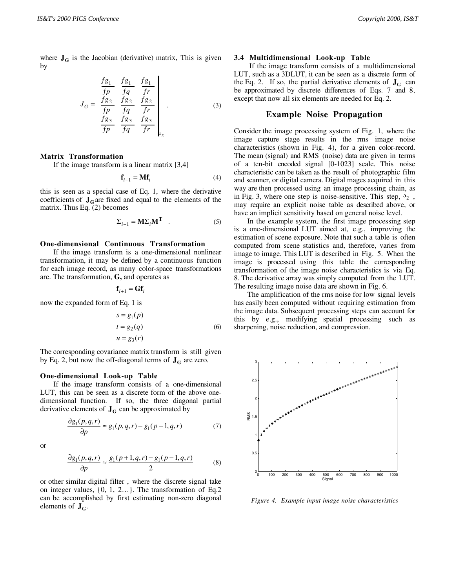where  $J_G$  is the Jacobian (derivative) matrix, This is given by

$$
J_G = \frac{\frac{fg_1}{fp} - \frac{fg_1}{fq}}{\frac{fg_2}{fp} - \frac{fg_2}{fq}} \frac{\frac{fg_1}{fr}}{\frac{fg_2}{fr}}}{\frac{fg_3}{fp} - \frac{fg_3}{fq}} \frac{\frac{fg_3}{fr}}{\frac{fg_3}{fr}}}{\frac{fg_3}{fr}} \right|_{x} \tag{3}
$$

#### **Matrix Transformation**

If the image transform is a linear matrix [3,4]

$$
\mathbf{f}_{i+1} = \mathbf{M} \mathbf{f}_i \tag{4}
$$

this is seen as a special case of Eq. 1, where the derivative coefficients of  $J<sub>G</sub>$  are fixed and equal to the elements of the matrix. Thus Eq. (2) becomes

$$
\Sigma_{i+1} = \mathbf{M} \Sigma_i \mathbf{M}^{\mathbf{T}} \quad . \tag{5}
$$

## **One-dimensional Continuous Transformation**

If the image transform is a one-dimensional nonlinear transformation, it may be defined by a continuous function for each image record, as many color-space transformations are. The transformation, **G,** and operates as

$$
\mathbf{f}_{i+1} = \mathbf{G} \mathbf{f}_i
$$

now the expanded form of Eq. 1 is

$$
s = g_1(p)
$$
  
\n
$$
t = g_2(q)
$$
  
\n
$$
u = g_3(r)
$$
\n(6)

The corresponding covariance matrix transform is still given by Eq. 2, but now the off-diagonal terms of  $J<sub>G</sub>$  are zero.

## **One-dimensional Look-up Table**

If the image transform consists of a one-dimensional LUT, this can be seen as a discrete form of the above onedimensional function. If so, the three diagonal partial derivative elements of  $J<sub>G</sub>$  can be approximated by

$$
\frac{\partial g_1(p,q,r)}{\partial p} \approx g_1(p,q,r) - g_1(p-1,q,r) \tag{7}
$$

or

$$
\frac{\partial g_1(p,q,r)}{\partial p} \approx \frac{g_1(p+1,q,r) - g_1(p-1,q,r)}{2} \tag{8}
$$

or other similar digital filter , where the discrete signal take on integer values, {0, 1, 2…}. The transformation of Eq.2 can be accomplished by first estimating non-zero diagonal elements of  $J<sub>G</sub>$ .

#### **3.4 Multidimensional Look-up Table**

 If the image transform consists of a multidimensional LUT, such as a 3DLUT, it can be seen as a discrete form of the Eq. 2. If so, the partial derivative elements of  $J<sub>G</sub>$  can be approximated by discrete differences of Eqs. 7 and 8, except that now all six elements are needed for Eq. 2.

## **Example Noise Propagation**

Consider the image processing system of Fig. 1, where the image capture stage results in the rms image noise characteristics (shown in Fig. 4), for a given color-record. The mean (signal) and RMS (noise) data are given in terms of a ten-bit encoded signal [0-1023] scale. This noise characteristic can be taken as the result of photographic film and scanner, or digital camera. Digital mages acquired in this way are then processed using an image processing chain, as in Fig. 3, where one step is noise-sensitive. This step,  $\mathcal{S}_2$ , may require an explicit noise table as described above, or have an implicit sensitivity based on general noise level.

In the example system, the first image processing step is a one-dimensional LUT aimed at, e.g., improving the estimation of scene exposure. Note that such a table is often computed from scene statistics and, therefore, varies from image to image. This LUT is described in Fig. 5. When the image is processed using this table the corresponding transformation of the image noise characteristics is via Eq. 8. The derivative array was simply computed from the LUT. The resulting image noise data are shown in Fig. 6.

The amplification of the rms noise for low signal levels has easily been computed without requiring estimation from the image data. Subsequent processing steps can account for this by e.g., modifying spatial processing such as sharpening, noise reduction, and compression.



*Figure 4. Example input image noise characteristics*